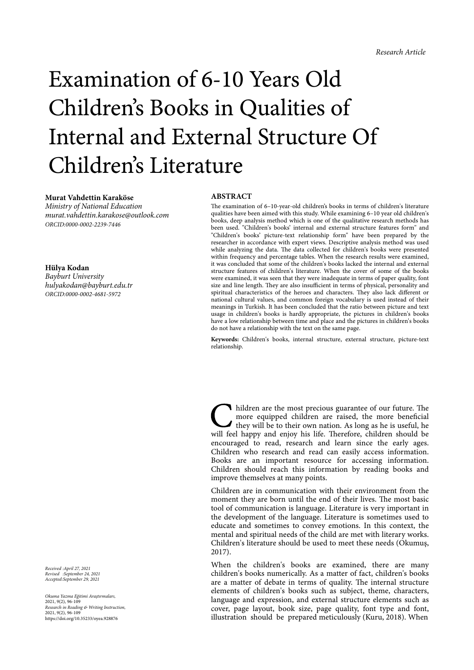# Examination of 6-10 Years Old Children's Books in Qualities of Internal and External Structure Of Children's Literature

# **Murat Vahdettin Karaköse**

*Ministry of National Education murat.vahdettin.karakose@outlook.com ORCID:0000-0002-2239-7446*

**Hülya Kodan** *Bayburt University hulyakodan@bayburt.edu.tr ORCID:0000-0002-4681-5972*

**ABSTRACT**

The examination of 6–10-year-old children's books in terms of children's literature qualities have been aimed with this study. While examining 6–10 year old children's books, deep analysis method which is one of the qualitative research methods has been used. "Children's books' internal and external structure features form" and "Children's books' picture-text relationship form" have been prepared by the researcher in accordance with expert views. Descriptive analysis method was used while analyzing the data. The data collected for children's books were presented within frequency and percentage tables. When the research results were examined, it was concluded that some of the children's books lacked the internal and external structure features of children's literature. When the cover of some of the books were examined, it was seen that they were inadequate in terms of paper quality, font size and line length. They are also insufficient in terms of physical, personality and spiritual characteristics of the heroes and characters. They also lack different or national cultural values, and common foreign vocabulary is used instead of their meanings in Turkish. It has been concluded that the ratio between picture and text usage in children's books is hardly appropriate, the pictures in children's books have a low relationship between time and place and the pictures in children's books do not have a relationship with the text on the same page.

**Keywords:** Children's books, internal structure, external structure, picture-text relationship.

I hildren are the most precious guarantee of our future. The more equipped children are raised, the more beneficial they will be to their own nation. As long as he is useful, he will feel happy and enjoy his life. Therefor more equipped children are raised, the more beneficial they will be to their own nation. As long as he is useful, he will feel happy and enjoy his life. Therefore, children should be encouraged to read, research and learn since the early ages. Children who research and read can easily access information. Books are an important resource for accessing information. Children should reach this information by reading books and improve themselves at many points.

Children are in communication with their environment from the moment they are born until the end of their lives. The most basic tool of communication is language. Literature is very important in the development of the language. Literature is sometimes used to educate and sometimes to convey emotions. In this context, the mental and spiritual needs of the child are met with literary works. Children's literature should be used to meet these needs (Okumuş, 2017).

When the children's books are examined, there are many children's books numerically. As a matter of fact, children's books are a matter of debate in terms of quality. The internal structure elements of children's books such as subject, theme, characters, language and expression, and external structure elements such as cover, page layout, book size, page quality, font type and font, illustration should be prepared meticulously (Kuru, 2018). When

*Received :April 27, 2021 Revised :September 24, 2021 Accepted:September 29, 2021*

*Okuma Yazma E*ğ*itimi Ara*ş*tırmaları,* 2021, 9(2), 96-109 *Research in Reading & Writing Instruction,* 2021, 9(2), 96-109 https://doi.org/10.35233/oyea.928876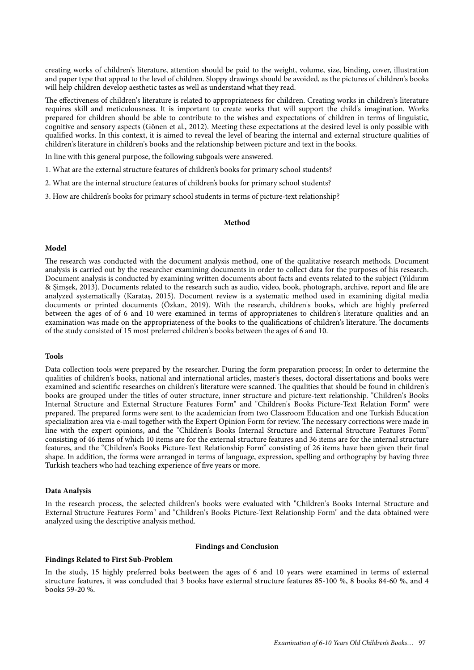creating works of children's literature, attention should be paid to the weight, volume, size, binding, cover, illustration and paper type that appeal to the level of children. Sloppy drawings should be avoided, as the pictures of children's books will help children develop aesthetic tastes as well as understand what they read.

The effectiveness of children's literature is related to appropriateness for children. Creating works in children's literature requires skill and meticulousness. It is important to create works that will support the child's imagination. Works prepared for children should be able to contribute to the wishes and expectations of children in terms of linguistic, cognitive and sensory aspects (Gönen et al., 2012). Meeting these expectations at the desired level is only possible with qualified works. In this context, it is aimed to reveal the level of bearing the internal and external structure qualities of children's literature in children's books and the relationship between picture and text in the books.

In line with this general purpose, the following subgoals were answered.

1. What are the external structure features of children's books for primary school students?

2. What are the internal structure features of children's books for primary school students?

3. How are children's books for primary school students in terms of picture-text relationship?

## **Method**

## **Model**

The research was conducted with the document analysis method, one of the qualitative research methods. Document analysis is carried out by the researcher examining documents in order to collect data for the purposes of his research. Document analysis is conducted by examining written documents about facts and events related to the subject (Yıldırım & Şimşek, 2013). Documents related to the research such as audio, video, book, photograph, archive, report and file are analyzed systematically (Karataş, 2015). Document review is a systematic method used in examining digital media documents or printed documents (Özkan, 2019). With the research, children's books, which are highly preferred between the ages of of 6 and 10 were examined in terms of appropriatenes to children's literature qualities and an examination was made on the appropriateness of the books to the qualifications of children's literature. The documents of the study consisted of 15 most preferred children's books between the ages of 6 and 10.

#### **Tools**

Data collection tools were prepared by the researcher. During the form preparation process; In order to determine the qualities of children's books, national and international articles, master's theses, doctoral dissertations and books were examined and scientific researches on children's literature were scanned. The qualities that should be found in children's books are grouped under the titles of outer structure, inner structure and picture-text relationship. "Children's Books Internal Structure and External Structure Features Form" and "Children's Books Picture-Text Relation Form" were prepared. The prepared forms were sent to the academician from two Classroom Education and one Turkish Education specialization area via e-mail together with the Expert Opinion Form for review. The necessary corrections were made in line with the expert opinions, and the "Children's Books Internal Structure and External Structure Features Form" consisting of 46 items of which 10 items are for the external structure features and 36 items are for the internal structure features, and the "Children's Books Picture-Text Relationship Form" consisting of 26 items have been given their final shape. In addition, the forms were arranged in terms of language, expression, spelling and orthography by having three Turkish teachers who had teaching experience of five years or more.

# **Data Analysis**

In the research process, the selected children's books were evaluated with "Children's Books Internal Structure and External Structure Features Form" and "Children's Books Picture-Text Relationship Form" and the data obtained were analyzed using the descriptive analysis method.

## **Findings and Conclusion**

#### **Findings Related to First Sub-Problem**

In the study, 15 highly preferred boks beetween the ages of 6 and 10 years were examined in terms of external structure features, it was concluded that 3 books have external structure features 85-100 %, 8 books 84-60 %, and 4 books 59-20 %.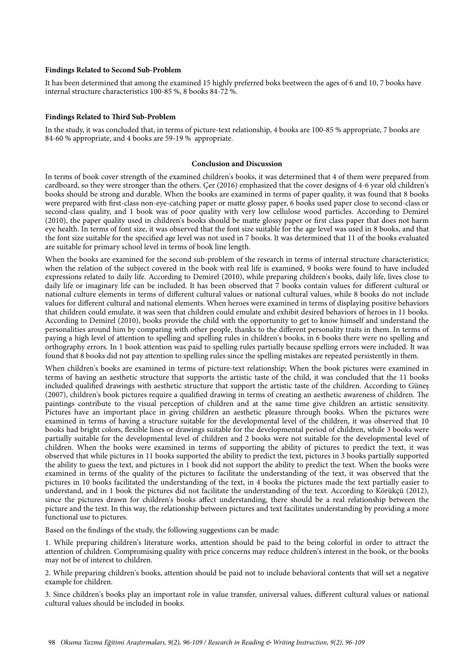# **Findings Related to Second Sub-Problem**

It has been determined that among the examined 15 highly preferred boks beetween the ages of 6 and 10, 7 books have internal structure characteristics 100-85 %, 8 books 84-72 %.

# **Findings Related to Third Sub-Problem**

In the study, it was concluded that, in terms of picture-text relationship, 4 books are 100-85 % appropriate, 7 books are 84-60 % appropriate, and 4 books are 59-19 % appropriate.

# **Conclusion and Discussion**

In terms of book cover strength of the examined children's books, it was determined that 4 of them were prepared from cardboard, so they were stronger than the others. Çer (2016) emphasized that the cover designs of 4-6 year old children's books should be strong and durable. When the books are examined in terms of paper quality, it was found that 8 books were prepared with first-class non-eye-catching paper or matte glossy paper, 6 books used paper close to second-class or second-class quality, and 1 book was of poor quality with very low cellulose wood particles. According to Demirel (2010), the paper quality used in children's books should be matte glossy paper or first class paper that does not harm eye health. In terms of font size, it was observed that the font size suitable for the age level was used in 8 books, and that the font size suitable for the specified age level was not used in 7 books. It was determined that 11 of the books evaluated are suitable for primary school level in terms of book line length.

When the books are examined for the second sub-problem of the research in terms of internal structure characteristics; when the relation of the subject covered in the book with real life is examined, 9 books were found to have included expressions related to daily life. According to Demirel (2010), while preparing children's books, daily life, lives close to daily life or imaginary life can be included. It has been observed that 7 books contain values for different cultural or national culture elements in terms of different cultural values or national cultural values, while 8 books do not include values for different cultural and national elements. When heroes were examined in terms of displaying positive behaviors that children could emulate, it was seen that children could emulate and exhibit desired behaviors of heroes in 11 books. According to Demirel (2010), books provide the child with the opportunity to get to know himself and understand the personalities around him by comparing with other people, thanks to the different personality traits in them. In terms of paying a high level of attention to spelling and spelling rules in children's books, in 6 books there were no spelling and orthography errors. In 1 book attention was paid to spelling rules partially because spelling errors were included. It was found that 8 books did not pay attention to spelling rules since the spelling mistakes are repeated persistently in them.

When children's books are examined in terms of picture-text relationship; When the book pictures were examined in terms of having an aesthetic structure that supports the artistic taste of the child, it was concluded that the 11 books included qualified drawings with aesthetic structure that support the artistic taste of the children. According to Güneş (2007), children's book pictures require a qualified drawing in terms of creating an aesthetic awareness of children. The paintings contribute to the visual perception of children and at the same time give children an artistic sensitivity. Pictures have an important place in giving children an aesthetic pleasure through books. When the pictures were examined in terms of having a structure suitable for the developmental level of the children, it was observed that 10 books had bright colors, flexible lines or drawings suitable for the developmental period of children, while 3 books were partially suitable for the developmental level of children and 2 books were not suitable for the developmental level of children. When the books were examined in terms of supporting the ability of pictures to predict the text, it was observed that while pictures in 11 books supported the ability to predict the text, pictures in 3 books partially supported the ability to guess the text, and pictures in 1 book did not support the ability to predict the text. When the books were examined in terms of the quality of the pictures to facilitate the understanding of the text, it was observed that the pictures in 10 books facilitated the understanding of the text, in 4 books the pictures made the text partially easier to understand, and in 1 book the pictures did not facilitate the understanding of the text. According to Körükçü (2012), since the pictures drawn for children's books affect understanding, there should be a real relationship between the picture and the text. In this way, the relationship between pictures and text facilitates understanding by providing a more functional use to pictures.

Based on the findings of the study, the following suggestions can be made:

1. While preparing children's literature works, attention should be paid to the being colorful in order to attract the attention of children. Compromising quality with price concerns may reduce children's interest in the book, or the books may not be of interest to children.

2. While preparing children's books, attention should be paid not to include behavioral contents that will set a negative example for children.

3. Since children's books play an important role in value transfer, universal values, different cultural values or national cultural values should be included in books.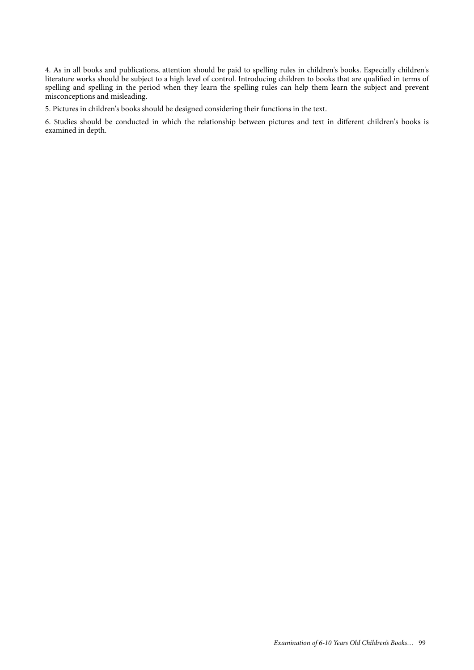4. As in all books and publications, attention should be paid to spelling rules in children's books. Especially children's literature works should be subject to a high level of control. Introducing children to books that are qualified in terms of spelling and spelling in the period when they learn the spelling rules can help them learn the subject and prevent misconceptions and misleading.

5. Pictures in children's books should be designed considering their functions in the text.

6. Studies should be conducted in which the relationship between pictures and text in different children's books is examined in depth.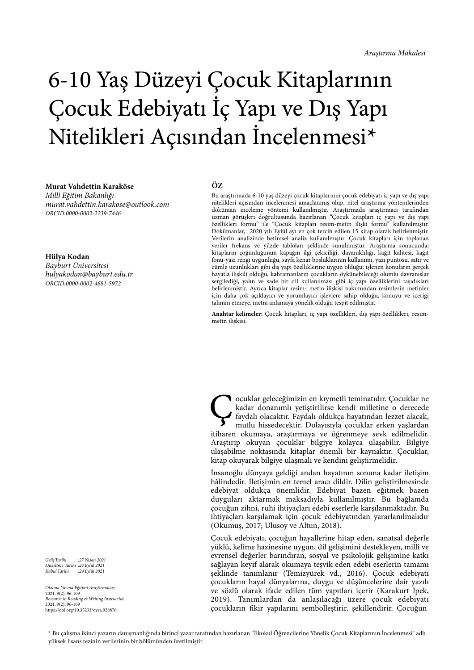# 6-10 Yaş Düzeyi Çocuk Kitaplarının Çocuk Edebiyatı İç Yapı ve Dış Yapı Nitelikleri Açısından İncelenmesi\*

#### **Murat Vahdettin Karaköse**

*Millî E*ğ*itim Bakanlı*ğ*ı murat.vahdettin.karakose@outlook.com ORCID:0000-0002-2239-7446*

**Hülya Kodan** *Bayburt Üniversitesi hulyakodan@bayburt.edu.tr*

*ORCID:0000-0002-4681-5972*

**ÖZ**

Bu araştırmada 6-10 yaş düzeyi çocuk kitaplarının çocuk edebiyatı iç yapı ve dış yapı nitelikleri açısından incelenmesi amaçlanmış olup, nitel araştırma yöntemlerinden doküman inceleme yöntemi kullanılmıştır. Araştırmada araştırmacı tarafından uzman görüşleri doğrultusunda hazırlanan "Çocuk kitapları iç yapı ve dış yapı özellikleri formu" ile "Çocuk kitapları resim-metin ilişki formu" kullanılmıştır. Dokümanlar, 2020 yılı Eylül ayı en çok tercih edilen 15 kitap olarak belirlenmiştir. Verilerin analizinde betimsel analiz kullanılmıştır. Çocuk kitapları için toplanan veriler frekans ve yüzde tabloları şeklinde sunulmuştur. Araştırma sonucunda; kitapların çoğunluğunun kapağın ilgi çekiciliği, dayanıklılığı, kağıt kalitesi, kağıt fonu-yazı rengi uygunluğu, sayfa kenar boşluklarının kullanımı, yazı puntosu, satır ve cümle uzunlukları gibi dış yapı özelliklerine uygun olduğu; işlenen konuların gerçek hayatla ilişkili olduğu, kahramanların çocukların öykünebileceği olumlu davranışlar sergilediği, yalın ve sade bir dil kullanılması gibi iç yapı özelliklerini taşıdıkları belirlenmiştir. Ayrıca kitaplar resim- metin ilişkisi bakımından resimlerin metinler için daha çok açıklayıcı ve yorumlayıcı işlevlere sahip olduğu, konuyu ve içeriği tahmin etmeye, metni anlamaya yönelik olduğu tespit edilmiştir.

**Anahtar kelimeler:** Çocuk kitapları, iç yapı özellikleri, dış yapı özellikleri, resimmetin ilişkisi.

**Cocuklar geleceğimizin en kıymetli teminatıdır.** Çocuklar ne kadar donanımlı yetiştirilirse kendi milletine o derecede faydalı olacaktır. Faydalı oldukça hayatından lezzet alacak, mutlu hissedecektir. Dolavısıvla cocuklar kadar donanımlı yetiştirilirse kendi milletine o derecede mutlu hissedecektir. Dolayısıyla çocuklar erken yaşlardan itibaren okumaya, araştırmaya ve öğrenmeye sevk edilmelidir. Araştırıp okuyan çocuklar bilgiye kolayca ulaşabilir. Bilgiye ulaşabilme noktasında kitaplar önemli bir kaynaktır. Çocuklar, kitap okuyarak bilgiye ulaşmalı ve kendini geliştirmelidir.

İnsanoğlu dünyaya geldiği andan hayatının sonuna kadar iletişim hâlindedir. İletişimin en temel aracı dildir. Dilin geliştirilmesinde edebiyat oldukça önemlidir. Edebiyat bazen eğitmek bazen duyguları aktarmak maksadıyla kullanılmıştır. Bu bağlamda çocuğun zihni, ruhi ihtiyaçları edebi eserlerle karşılanmaktadır. Bu ihtiyaçları karşılamak için çocuk edebiyatından yararlanılmalıdır (Okumuş, 2017; Ulusoy ve Altun, 2018).

Çocuk edebiyatı, çocuğun hayallerine hitap eden, sanatsal değerle yüklü, kelime hazinesine uygun, dil gelişimini destekleyen, millî ve evrensel değerler barındıran, sosyal ve psikolojik gelişimine katkı sağlayan keyif alarak okumaya teşvik eden edebi eserlerin tamamı şeklinde tanımlanır (Temizyürek vd., 2016). Çocuk edebiyatı çocukların hayal dünyalarına, duygu ve düşüncelerine dair yazılı ve sözlü olarak ifade edilen tüm yapıtları içerir (Karakurt İpek, 2019). Tanımlardan da anlaşılacağı üzere çocuk edebiyatı çocukların fikir yapılarını sembolleştirir, şekillendirir. Çocuğun

*Geli*ş*Tarihi :27 Nisan 2021 Düzeltme Tarihi :24 Eylül 2021 Kabul Tarihi :29 Eylül 2021*

*Okuma Yazma E*ğ*itimi Ara*ş*tırmaları,* 2021, 9(2), 96-109 *Research in Reading & Writing Instruction,* 2021, 9(2), 96-109 https://doi.org/10.35233/oyea.928876

\* Bu çalışma ikinci yazarın danışmanlığında birinci yazar tarafından hazırlanan "İlkokul Öğrencilerine Yönelik Çocuk Kitaplarının İncelenmesi" adlı yüksek lisans tezinin verilerinin bir bölümünden üretilmiştir.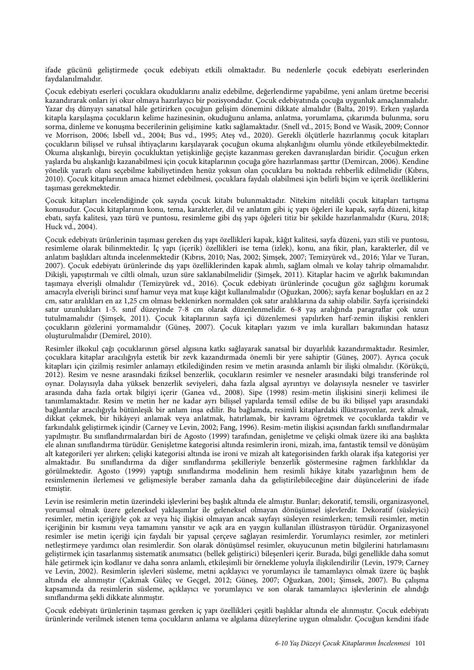ifade gücünü geliştirmede çocuk edebiyatı etkili olmaktadır. Bu nedenlerle çocuk edebiyatı eserlerinden faydalanılmalıdır.

Çocuk edebiyatı eserleri çocuklara okuduklarını analiz edebilme, değerlendirme yapabilme, yeni anlam üretme becerisi kazandırarak onları iyi okur olmaya hazırlayıcı bir pozisyondadır. Çocuk edebiyatında çocuğa uygunluk amaçlanmalıdır. Yazar dış dünyayı sanatsal hâle getirirken çocuğun gelişim dönemini dikkate almalıdır (Balta, 2019). Erken yaşlarda kitapla karşılaşma çocukların kelime hazinesinin, okuduğunu anlama, anlatma, yorumlama, çıkarımda bulunma, soru sorma, dinleme ve konuşma becerilerinin gelişimine katkı sağlamaktadır. (Snell vd., 2015; Bond ve Wasik, 2009; Connor ve Morrison, 2006; Isbell vd., 2004; Bus vd., 1995; Ateş vd., 2020). Gerekli ölçütlerle hazırlanmış çocuk kitapları çocukların bilişsel ve ruhsal ihtiyaçlarını karşılayarak çocuğun okuma alışkanlığını olumlu yönde etkileyebilmektedir. Okuma alışkanlığı, bireyin çocukluktan yetişkinliğe geçişte kazanması gereken davranışlardan biridir. Çocuğun erken yaşlarda bu alışkanlığı kazanabilmesi için çocuk kitaplarının çocuğa göre hazırlanması şarttır (Demircan, 2006). Kendine yönelik yararlı olanı seçebilme kabiliyetinden henüz yoksun olan çocuklara bu noktada rehberlik edilmelidir (Kıbrıs, 2010). Çocuk kitaplarının amaca hizmet edebilmesi, çocuklara faydalı olabilmesi için belirli biçim ve içerik özelliklerini taşıması gerekmektedir.

Çocuk kitapları incelendiğinde çok sayıda çocuk kitabı bulunmaktadır. Nitekim nitelikli çocuk kitapları tartışma konusudur. Çocuk kitaplarının konu, tema, karakterler, dil ve anlatım gibi iç yapı öğeleri ile kapak, sayfa düzeni, kitap ebatı, sayfa kalitesi, yazı türü ve puntosu, resimleme gibi dış yapı öğeleri titiz bir şekilde hazırlanmalıdır (Kuru, 2018; Huck vd., 2004).

Çocuk edebiyatı ürünlerinin taşıması gereken dış yapı özellikleri kapak, kâğıt kalitesi, sayfa düzeni, yazı stili ve puntosu, resimleme olarak bilinmektedir. İç yapı (içerik) özellikleri ise tema (izlek), konu, ana fikir, plan, karakterler, dil ve anlatım başlıkları altında incelenmektedir (Kıbrıs, 2010; Nas, 2002; Şimşek, 2007; Temizyürek vd., 2016; Yılar ve Turan, 2007). Çocuk edebiyatı ürünlerinde dış yapı özelliklerinden kapak alımlı, sağlam olmalı ve kolay tahrip olmamalıdır. Dikişli, yapıştırmalı ve ciltli olmalı, uzun süre saklanabilmelidir (Şimşek, 2011). Kitaplar hacim ve ağırlık bakımından taşımaya elverişli olmalıdır (Temizyürek vd., 2016). Çocuk edebiyatı ürünlerinde çocuğun göz sağlığını korumak amacıyla elverişli birinci sınıf hamur veya mat kuşe kâğıt kullanılmalıdır (Oğuzkan, 2006); sayfa kenar boşlukları en az 2 cm, satır aralıkları en az 1,25 cm olması beklenirken normalden çok satır aralıklarına da sahip olabilir. Sayfa içerisindeki satır uzunlukları 1-5. sınıf düzeyinde 7-8 cm olarak düzenlenmelidir. 6-8 yaş aralığında paragraflar çok uzun tutulmamalıdır (Şimşek, 2011). Çocuk kitaplarının sayfa içi düzenlemesi yapılırken harf-zemin ilişkisi renkleri çocukların gözlerini yormamalıdır (Güneş, 2007). Çocuk kitapları yazım ve imla kuralları bakımından hatasız oluşturulmalıdır (Demirel, 2010).

Resimler ilkokul çağı çocuklarının görsel algısına katkı sağlayarak sanatsal bir duyarlılık kazandırmaktadır. Resimler, çocuklara kitaplar aracılığıyla estetik bir zevk kazandırmada önemli bir yere sahiptir (Güneş, 2007). Ayrıca çocuk kitapları için çizilmiş resimler anlamayı etkilediğinden resim ve metin arasında anlamlı bir ilişki olmalıdır. (Körükçü, 2012). Resim ve nesne arasındaki fiziksel benzerlik, çocukların resimler ve nesneler arasındaki bilgi transferinde rol oynar. Dolayısıyla daha yüksek benzerlik seviyeleri, daha fazla algısal ayrıntıyı ve dolayısıyla nesneler ve tasvirler arasında daha fazla ortak bilgiyi içerir (Ganea vd., 2008). Sipe (1998) resim-metin ilişkisini sinerji kelimesi ile tanımlamaktadır. Resim ve metin her ne kadar ayrı bilişsel yapılarda temsil edilse de bu iki bilişsel yapı arasındaki bağlantılar aracılığıyla bütünleşik bir anlam inşa edilir. Bu bağlamda, resimli kitaplardaki illüstrasyonlar, zevk almak, dikkat çekmek, bir hikâyeyi anlamak veya anlatmak, hatırlamak, bir kavramı öğretmek ve çocuklarda takdir ve farkındalık geliştirmek içindir (Carney ve Levin, 2002; Fang, 1996). Resim-metin ilişkisi açısından farklı sınıflandırmalar yapılmıştır. Bu sınıflandırmalardan biri de Agosto (1999) tarafından, genişletme ve çelişki olmak üzere iki ana başlıkta ele alınan sınıflandırma türüdür. Genişletme kategorisi altında resimlerin ironi, mizah, ima, fantastik temsil ve dönüşüm alt kategorileri yer alırken; çelişki kategorisi altında ise ironi ve mizah alt kategorisinden farklı olarak ifşa kategorisi yer almaktadır. Bu sınıflandırma da diğer sınıflandırma şekilleriyle benzerlik göstermesine rağmen farklılıklar da görülmektedir. Agosto (1999) yaptığı sınıflandırma modelinin hem resimli hikâye kitabı yazarlığının hem de resimlemenin ilerlemesi ve gelişmesiyle beraber zamanla daha da geliştirilebileceğine dair düşüncelerini de ifade etmiştir.

Levin ise resimlerin metin üzerindeki işlevlerini beş başlık altında ele almıştır. Bunlar; dekoratif, temsili, organizasyonel, yorumsal olmak üzere geleneksel yaklaşımlar ile geleneksel olmayan dönüşümsel işlevlerdir. Dekoratif (süsleyici) resimler, metin içeriğiyle çok az veya hiç ilişkisi olmayan ancak sayfayı süsleyen resimlerken; temsili resimler, metin içeriğinin bir kısmını veya tamamını yansıtır ve açık ara en yaygın kullanılan illüstrasyon türüdür. Organizasyonel resimler ise metin içeriği için faydalı bir yapısal çerçeve sağlayan resimlerdir. Yorumlayıcı resimler, zor metinleri netleştirmeye yardımcı olan resimlerdir. Son olarak dönüşümsel resimler, okuyucunun metin bilgilerini hatırlamasını geliştirmek için tasarlanmış sistematik anımsatıcı (bellek geliştirici) bileşenleri içerir. Burada, bilgi genellikle daha somut hâle getirmek için kodlanır ve daha sonra anlamlı, etkileşimli bir örnekleme yoluyla ilişkilendirilir (Levin, 1979; Carney ve Levin, 2002). Resimlerin işlevleri süsleme, metni açıklayıcı ve yorumlayıcı ile tamamlayıcı olmak üzere üç başlık altında ele alınmıştır (Çakmak Güleç ve Geçgel, 2012; Güneş, 2007; Oğuzkan, 2001; Şimsek, 2007). Bu çalışma kapsamında da resimlerin süsleme, açıklayıcı ve yorumlayıcı ve son olarak tamamlayıcı işlevlerinin ele alındığı sınıflandırma şekli dikkate alınmıştır.

Çocuk edebiyatı ürünlerinin taşıması gereken iç yapı özellikleri çeşitli başlıklar altında ele alınmıştır. Çocuk edebiyatı ürünlerinde verilmek istenen tema çocukların anlama ve algılama düzeylerine uygun olmalıdır. Çocuğun kendini ifade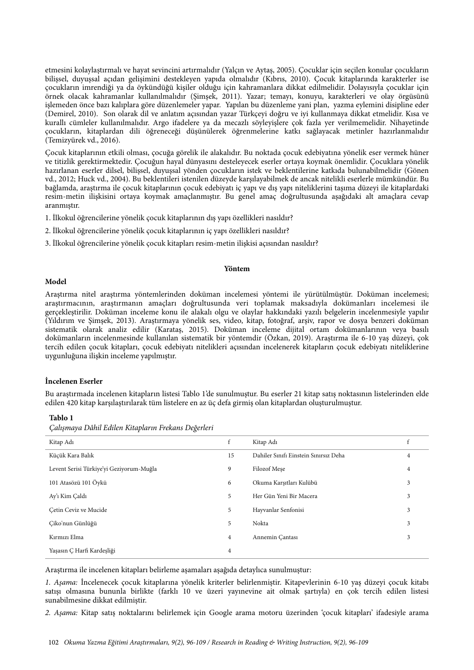etmesini kolaylaştırmalı ve hayat sevincini artırmalıdır (Yalçın ve Aytaş, 2005). Çocuklar için seçilen konular çocukların bilişsel, duyuşsal açıdan gelişimini destekleyen yapıda olmalıdır (Kıbrıs, 2010). Çocuk kitaplarında karakterler ise çocukların imrendiği ya da öykündüğü kişiler olduğu için kahramanlara dikkat edilmelidir. Dolayısıyla çocuklar için örnek olacak kahramanlar kullanılmalıdır (Şimşek, 2011). Yazar; temayı, konuyu, karakterleri ve olay örgüsünü işlemeden önce bazı kalıplara göre düzenlemeler yapar. Yapılan bu düzenleme yani plan, yazma eylemini disipline eder (Demirel, 2010). Son olarak dil ve anlatım açısından yazar Türkçeyi doğru ve iyi kullanmaya dikkat etmelidir. Kısa ve kurallı cümleler kullanılmalıdır. Argo ifadelere ya da mecazlı söyleyişlere çok fazla yer verilmemelidir. Nihayetinde çocukların, kitaplardan dili öğreneceği düşünülerek öğrenmelerine katkı sağlayacak metinler hazırlanmalıdır (Temizyürek vd., 2016).

Çocuk kitaplarının etkili olması, çocuğa görelik ile alakalıdır. Bu noktada çocuk edebiyatına yönelik eser vermek hüner ve titizlik gerektirmektedir. Çocuğun hayal dünyasını desteleyecek eserler ortaya koymak önemlidir. Çocuklara yönelik hazırlanan eserler dilsel, bilişsel, duyuşsal yönden çocukların istek ve beklentilerine katkıda bulunabilmelidir (Gönen vd., 2012; Huck vd., 2004). Bu beklentileri istenilen düzeyde karşılayabilmek de ancak nitelikli eserlerle mümkündür. Bu bağlamda, araştırma ile çocuk kitaplarının çocuk edebiyatı iç yapı ve dış yapı niteliklerini taşıma düzeyi ile kitaplardaki resim-metin ilişkisini ortaya koymak amaçlanmıştır. Bu genel amaç doğrultusunda aşağıdaki alt amaçlara cevap aranmıştır.

- 1. İlkokul öğrencilerine yönelik çocuk kitaplarının dış yapı özellikleri nasıldır?
- 2. İlkokul öğrencilerine yönelik çocuk kitaplarının iç yapı özellikleri nasıldır?
- 3. İlkokul öğrencilerine yönelik çocuk kitapları resim-metin ilişkisi açısından nasıldır?

#### **Yöntem**

#### **Model**

Araştırma nitel araştırma yöntemlerinden doküman incelemesi yöntemi ile yürütülmüştür. Doküman incelemesi; araştırmacının, araştırmanın amaçları doğrultusunda veri toplamak maksadıyla dokümanları incelemesi ile gerçekleştirilir. Doküman inceleme konu ile alakalı olgu ve olaylar hakkındaki yazılı belgelerin incelenmesiyle yapılır (Yıldırım ve Şimşek, 2013). Araştırmaya yönelik ses, video, kitap, fotoğraf, arşiv, rapor ve dosya benzeri doküman sistematik olarak analiz edilir (Karataş, 2015). Doküman inceleme dijital ortam dokümanlarının veya basılı dokümanların incelenmesinde kullanılan sistematik bir yöntemdir (Özkan, 2019). Araştırma ile 6-10 yaş düzeyi, çok tercih edilen çocuk kitapları, çocuk edebiyatı nitelikleri açısından incelenerek kitapların çocuk edebiyatı niteliklerine uygunluğuna ilişkin inceleme yapılmıştır.

# **İncelenen Eserler**

Bu araştırmada incelenen kitapların listesi Tablo 1'de sunulmuştur. Bu eserler 21 kitap satış noktasının listelerinden elde edilen 420 kitap karşılaştırılarak tüm listelere en az üç defa girmiş olan kitaplardan oluşturulmuştur.

## **Tablo 1**

*Çalı*ş*maya Dâhil Edilen Kitapların Frekans De*ğ*erleri*

| Kitap Adı                                | $\mathbf{f}$   | Kitap Adı                             |   |
|------------------------------------------|----------------|---------------------------------------|---|
| Küçük Kara Balık                         | 15             | Dahiler Sınıfı Einstein Sınırsız Deha | 4 |
| Levent Serisi Türkiye'yi Geziyorum-Muğla | 9              | Filozof Mese                          | 4 |
| 101 Atasözü 101 Öykü                     | 6              | Okuma Karşıtları Kulübü               | 3 |
| Ay'ı Kim Çaldı                           | 5.             | Her Gün Yeni Bir Macera               | 3 |
| Cetin Ceviz ve Mucide                    | 5              | Hayvanlar Senfonisi                   | 3 |
| Çiko'nun Günlüğü                         | 5              | Nokta                                 | 3 |
| Kırmızı Elma                             | $\overline{4}$ | Annemin Cantası                       | 3 |
| Yaşasın Ç Harfi Kardeşliği               | 4              |                                       |   |

Araştırma ile incelenen kitapları belirleme aşamaları aşağıda detaylıca sunulmuştur:

*1. A*ş*ama:* İncelenecek çocuk kitaplarına yönelik kriterler belirlenmiştir. Kitapevlerinin 6-10 yaş düzeyi çocuk kitabı satışı olmasına bununla birlikte (farklı 10 ve üzeri yayınevine ait olmak şartıyla) en çok tercih edilen listesi sunabilmesine dikkat edilmiştir.

*2. A*ş*ama:* Kitap satış noktalarını belirlemek için Google arama motoru üzerinden 'çocuk kitapları' ifadesiyle arama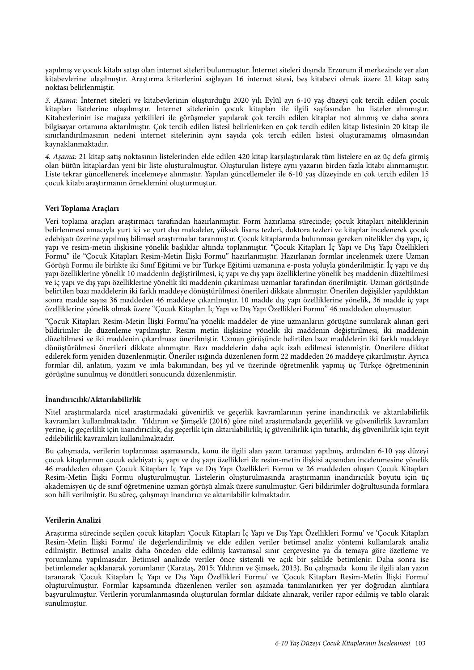yapılmış ve çocuk kitabı satışı olan internet siteleri bulunmuştur. İnternet siteleri dışında Erzurum il merkezinde yer alan kitabevlerine ulaşılmıştır. Araştırma kriterlerini sağlayan 16 internet sitesi, beş kitabevi olmak üzere 21 kitap satış noktası belirlenmiştir.

*3. A*ş*ama:* İnternet siteleri ve kitabevlerinin oluşturduğu 2020 yılı Eylül ayı 6-10 yaş düzeyi çok tercih edilen çocuk kitapları listelerine ulaşılmıştır. İnternet sitelerinin çocuk kitapları ile ilgili sayfasından bu listeler alınmıştır. Kitabevlerinin ise mağaza yetkilileri ile görüşmeler yapılarak çok tercih edilen kitaplar not alınmış ve daha sonra bilgisayar ortamına aktarılmıştır. Çok tercih edilen listesi belirlenirken en çok tercih edilen kitap listesinin 20 kitap ile sınırlandırılmasının nedeni internet sitelerinin aynı sayıda çok tercih edilen listesi oluşturamamış olmasından kaynaklanmaktadır.

*4. A*ş*ama:* 21 kitap satış noktasının listelerinden elde edilen 420 kitap karşılaştırılarak tüm listelere en az üç defa girmiş olan bütün kitaplardan yeni bir liste oluşturulmuştur. Oluşturulan listeye aynı yazarın birden fazla kitabı alınmamıştır. Liste tekrar güncellenerek incelemeye alınmıştır. Yapılan güncellemeler ile 6-10 yaş düzeyinde en çok tercih edilen 15 çocuk kitabı araştırmanın örneklemini oluşturmuştur.

# **Veri Toplama Araçları**

Veri toplama araçları araştırmacı tarafından hazırlanmıştır. Form hazırlama sürecinde; çocuk kitapları niteliklerinin belirlenmesi amacıyla yurt içi ve yurt dışı makaleler, yüksek lisans tezleri, doktora tezleri ve kitaplar incelenerek çocuk edebiyatı üzerine yapılmış bilimsel araştırmalar taranmıştır. Çocuk kitaplarında bulunması gereken nitelikler dış yapı, iç yapı ve resim-metin ilişkisine yönelik başlıklar altında toplanmıştır. "Çocuk Kitapları İç Yapı ve Dış Yapı Özellikleri Formu" ile "Çocuk Kitapları Resim-Metin İlişki Formu" hazırlanmıştır. Hazırlanan formlar incelenmek üzere Uzman Görüşü Formu ile birlikte iki Sınıf Eğitimi ve bir Türkçe Eğitimi uzmanına e-posta yoluyla gönderilmiştir. İç yapı ve dış yapı özelliklerine yönelik 10 maddenin değiştirilmesi, iç yapı ve dış yapı özelliklerine yönelik beş maddenin düzeltilmesi ve iç yapı ve dış yapı özelliklerine yönelik iki maddenin çıkarılması uzmanlar tarafından önerilmiştir. Uzman görüşünde belirtilen bazı maddelerin iki farklı maddeye dönüştürülmesi önerileri dikkate alınmıştır. Önerilen değişikler yapıldıktan sonra madde sayısı 36 maddeden 46 maddeye çıkarılmıştır. 10 madde dış yapı özelliklerine yönelik, 36 madde iç yapı özelliklerine yönelik olmak üzere "Çocuk Kitapları İç Yapı ve Dış Yapı Özellikleri Formu" 46 maddeden oluşmuştur.

"Çocuk Kitapları Resim-Metin İlişki Formu"na yönelik maddeler de yine uzmanların görüşüne sunularak alınan geri bildirimler ile düzenleme yapılmıştır. Resim metin ilişkisine yönelik iki maddenin değiştirilmesi, iki maddenin düzeltilmesi ve iki maddenin çıkarılması önerilmiştir. Uzman görüşünde belirtilen bazı maddelerin iki farklı maddeye dönüştürülmesi önerileri dikkate alınmıştır. Bazı maddelerin daha açık izah edilmesi istenmiştir. Önerilere dikkat edilerek form yeniden düzenlenmiştir. Öneriler ışığında düzenlenen form 22 maddeden 26 maddeye çıkarılmıştır. Ayrıca formlar dil, anlatım, yazım ve imla bakımından, beş yıl ve üzerinde öğretmenlik yapmış üç Türkçe öğretmeninin görüşüne sunulmuş ve dönütleri sonucunda düzenlenmiştir.

# **İnandırıcılık/Aktarılabilirlik**

Nitel araştırmalarda nicel araştırmadaki güvenirlik ve geçerlik kavramlarının yerine inandırıcılık ve aktarılabilirlik kavramları kullanılmaktadır. Yıldırım ve Şimşek'e (2016) göre nitel araştırmalarda geçerlilik ve güvenilirlik kavramları yerine, iç geçerlilik için inandırıcılık, dış geçerlik için aktarılabilirlik; iç güvenilirlik için tutarlık, dış güvenilirlik için teyit edilebilirlik kavramları kullanılmaktadır.

Bu çalışmada, verilerin toplanması aşamasında, konu ile ilgili alan yazın taraması yapılmış, ardından 6-10 yaş düzeyi çocuk kitaplarının çocuk edebiyatı iç yapı ve dış yapı özellikleri ile resim-metin ilişkisi açısından incelenmesine yönelik 46 maddeden oluşan Çocuk Kitapları İç Yapı ve Dış Yapı Özellikleri Formu ve 26 maddeden oluşan Çocuk Kitapları Resim-Metin İlişki Formu oluşturulmuştur. Listelerin oluşturulmasında araştırmanın inandırıcılık boyutu için üç akademisyen üç de sınıf öğretmenine uzman görüşü almak üzere sunulmuştur. Geri bildirimler doğrultusunda formlara son hâli verilmiştir. Bu süreç, çalışmayı inandırıcı ve aktarılabilir kılmaktadır.

# **Verilerin Analizi**

Araştırma sürecinde seçilen çocuk kitapları 'Çocuk Kitapları İç Yapı ve Dış Yapı Özellikleri Formu' ve 'Çocuk Kitapları Resim-Metin İlişki Formu' ile değerlendirilmiş ve elde edilen veriler betimsel analiz yöntemi kullanılarak analiz edilmiştir. Betimsel analiz daha önceden elde edilmiş kavramsal sınır çerçevesine ya da temaya göre özetleme ve yorumlama yapılmasıdır. Betimsel analizde veriler önce sistemli ve açık bir şekilde betimlenir. Daha sonra ise betimlemeler açıklanarak yorumlanır (Karataş, 2015; Yıldırım ve Şimşek, 2013). Bu çalışmada konu ile ilgili alan yazın taranarak 'Çocuk Kitapları İç Yapı ve Dış Yapı Özellikleri Formu' ve 'Çocuk Kitapları Resim-Metin İlişki Formu' oluşturulmuştur. Formlar kapsamında düzenlenen veriler son aşamada tanımlanırken yer yer doğrudan alıntılara başvurulmuştur. Verilerin yorumlanmasında oluşturulan formlar dikkate alınarak, veriler rapor edilmiş ve tablo olarak sunulmuştur.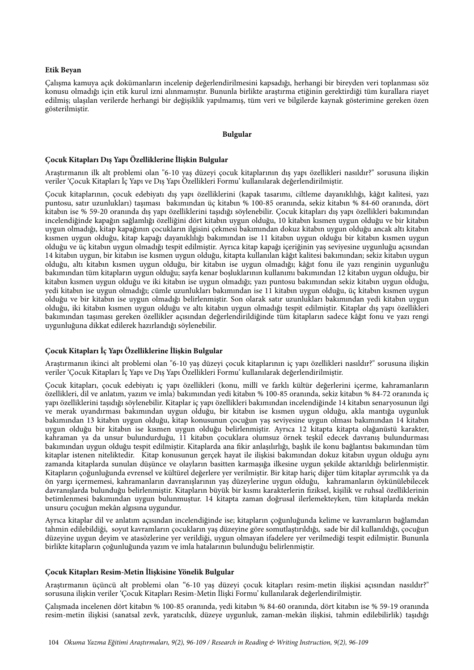# **Etik Beyan**

Çalışma kamuya açık dokümanların incelenip değerlendirilmesini kapsadığı, herhangi bir bireyden veri toplanması söz konusu olmadığı için etik kurul izni alınmamıştır. Bununla birlikte araştırma etiğinin gerektirdiği tüm kurallara riayet edilmiş; ulaşılan verilerde herhangi bir değişiklik yapılmamış, tüm veri ve bilgilerde kaynak gösterimine gereken özen gösterilmiştir.

# **Bulgular**

# **Çocuk Kitapları Dış Yapı Özelliklerine İlişkin Bulgular**

Araştırmanın ilk alt problemi olan "6-10 yaş düzeyi çocuk kitaplarının dış yapı özellikleri nasıldır?" sorusuna ilişkin veriler 'Çocuk Kitapları İç Yapı ve Dış Yapı Özellikleri Formu' kullanılarak değerlendirilmiştir.

Çocuk kitaplarının, çocuk edebiyatı dış yapı özelliklerini (kapak tasarımı, ciltleme dayanıklılığı, kâğıt kalitesi, yazı puntosu, satır uzunlukları) taşıması bakımından üç kitabın % 100-85 oranında, sekiz kitabın % 84-60 oranında, dört kitabın ise % 59-20 oranında dış yapı özelliklerini taşıdığı söylenebilir. Çocuk kitapları dış yapı özellikleri bakımından incelendiğinde kapağın sağlamlığı özelliğini dört kitabın uygun olduğu, 10 kitabın kısmen uygun olduğu ve bir kitabın uygun olmadığı, kitap kapağının çocukların ilgisini çekmesi bakımından dokuz kitabın uygun olduğu ancak altı kitabın kısmen uygun olduğu, kitap kapağı dayanıklılığı bakımından ise 11 kitabın uygun olduğu bir kitabın kısmen uygun olduğu ve üç kitabın uygun olmadığı tespit edilmiştir. Ayrıca kitap kapağı içeriğinin yaş seviyesine uygunluğu açısından 14 kitabın uygun, bir kitabın ise kısmen uygun olduğu, kitapta kullanılan kâğıt kalitesi bakımından; sekiz kitabın uygun olduğu, altı kitabın kısmen uygun olduğu, bir kitabın ise uygun olmadığı; kâğıt fonu ile yazı renginin uygunluğu bakımından tüm kitapların uygun olduğu; sayfa kenar boşluklarının kullanımı bakımından 12 kitabın uygun olduğu, bir kitabın kısmen uygun olduğu ve iki kitabın ise uygun olmadığı; yazı puntosu bakımından sekiz kitabın uygun olduğu, yedi kitabın ise uygun olmadığı; cümle uzunlukları bakımından ise 11 kitabın uygun olduğu, üç kitabın kısmen uygun olduğu ve bir kitabın ise uygun olmadığı belirlenmiştir. Son olarak satır uzunlukları bakımından yedi kitabın uygun olduğu, iki kitabın kısmen uygun olduğu ve altı kitabın uygun olmadığı tespit edilmiştir. Kitaplar dış yapı özellikleri bakımından taşıması gereken özellikler açısından değerlendirildiğinde tüm kitapların sadece kâğıt fonu ve yazı rengi uygunluğuna dikkat edilerek hazırlandığı söylenebilir.

# **Çocuk Kitapları İç Yapı Özelliklerine İlişkin Bulgular**

Araştırmanın ikinci alt problemi olan "6-10 yaş düzeyi çocuk kitaplarının iç yapı özellikleri nasıldır?" sorusuna ilişkin veriler 'Çocuk Kitapları İç Yapı ve Dış Yapı Özellikleri Formu' kullanılarak değerlendirilmiştir.

Çocuk kitapları, çocuk edebiyatı iç yapı özellikleri (konu, millî ve farklı kültür değerlerini içerme, kahramanların özellikleri, dil ve anlatım, yazım ve imla) bakımından yedi kitabın % 100-85 oranında, sekiz kitabın % 84-72 oranında iç yapı özelliklerini taşıdığı söylenebilir. Kitaplar iç yapı özellikleri bakımından incelendiğinde 14 kitabın senaryosunun ilgi ve merak uyandırması bakımından uygun olduğu, bir kitabın ise kısmen uygun olduğu, akla mantığa uygunluk bakımından 13 kitabın uygun olduğu, kitap konusunun çocuğun yaş seviyesine uygun olması bakımından 14 kitabın uygun olduğu bir kitabın ise kısmen uygun olduğu belirlenmiştir. Ayrıca 12 kitapta kitapta olağanüstü karakter, kahraman ya da unsur bulundurduğu, 11 kitabın çocuklara olumsuz örnek teşkil edecek davranış bulundurması bakımından uygun olduğu tespit edilmiştir. Kitaplarda ana fikir anlaşılırlığı, başlık ile konu bağlantısı bakımından tüm kitaplar istenen niteliktedir. Kitap konusunun gerçek hayat ile ilişkisi bakımından dokuz kitabın uygun olduğu aynı zamanda kitaplarda sunulan düşünce ve olayların basitten karmaşığa ilkesine uygun şekilde aktarıldığı belirlenmiştir. Kitapların çoğunluğunda evrensel ve kültürel değerlere yer verilmiştir. Bir kitap hariç diğer tüm kitaplar ayrımcılık ya da ön yargı içermemesi, kahramanların davranışlarının yaş düzeylerine uygun olduğu, kahramanların öykünülebilecek davranışlarda bulunduğu belirlenmiştir. Kitapların büyük bir kısmı karakterlerin fiziksel, kişilik ve ruhsal özelliklerinin betimlenmesi bakımından uygun bulunmuştur. 14 kitapta zaman doğrusal ilerlemekteyken, tüm kitaplarda mekân unsuru çocuğun mekân algısına uygundur.

Ayrıca kitaplar dil ve anlatım açısından incelendiğinde ise; kitapların çoğunluğunda kelime ve kavramların bağlamdan tahmin edilebildiği, soyut kavramların çocukların yaş düzeyine göre somutlaştırıldığı, sade bir dil kullanıldığı, çocuğun düzeyine uygun deyim ve atasözlerine yer verildiği, uygun olmayan ifadelere yer verilmediği tespit edilmiştir. Bununla birlikte kitapların çoğunluğunda yazım ve imla hatalarının bulunduğu belirlenmiştir.

# **Çocuk Kitapları Resim-Metin İlişkisine Yönelik Bulgular**

Araştırmanın üçüncü alt problemi olan "6-10 yaş düzeyi çocuk kitapları resim-metin ilişkisi açısından nasıldır?" sorusuna ilişkin veriler 'Çocuk Kitapları Resim-Metin İlişki Formu' kullanılarak değerlendirilmiştir.

Çalışmada incelenen dört kitabın % 100-85 oranında, yedi kitabın % 84-60 oranında, dört kitabın ise % 59-19 oranında resim-metin ilişkisi (sanatsal zevk, yaratıcılık, düzeye uygunluk, zaman-mekân ilişkisi, tahmin edilebilirlik) taşıdığı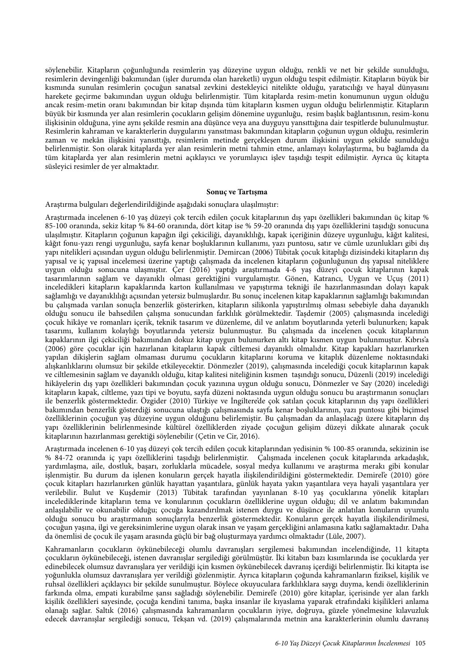söylenebilir. Kitapların çoğunluğunda resimlerin yaş düzeyine uygun olduğu, renkli ve net bir şekilde sunulduğu, resimlerin devingenliği bakımından (işler durumda olan hareketli) uygun olduğu tespit edilmiştir. Kitapların büyük bir kısmında sunulan resimlerin çocuğun sanatsal zevkini destekleyici nitelikte olduğu, yaratıcılığı ve hayal dünyasını harekete geçirme bakımından uygun olduğu belirlenmiştir. Tüm kitaplarda resim-metin konumunun uygun olduğu ancak resim-metin oranı bakımından bir kitap dışında tüm kitapların kısmen uygun olduğu belirlenmiştir. Kitapların büyük bir kısmında yer alan resimlerin çocukların gelişim dönemine uygunluğu, resim başlık bağlantısının, resim-konu ilişkisinin olduğuna, yine aynı şekilde resmin ana düşünce veya ana duyguyu yansıttığına dair tespitlerde bulunulmuştur. Resimlerin kahraman ve karakterlerin duygularını yansıtması bakımından kitapların çoğunun uygun olduğu, resimlerin zaman ve mekân ilişkisini yansıttığı, resimlerin metinde gerçekleşen durum ilişkisini uygun şekilde sunulduğu belirlenmiştir. Son olarak kitaplarda yer alan resimlerin metni tahmin etme, anlamayı kolaylaştırma, bu bağlamda da tüm kitaplarda yer alan resimlerin metni açıklayıcı ve yorumlayıcı işlev taşıdığı tespit edilmiştir. Ayrıca üç kitapta süsleyici resimler de yer almaktadır.

#### **Sonuç ve Tartışma**

Araştırma bulguları değerlendirildiğinde aşağıdaki sonuçlara ulaşılmıştır:

Araştırmada incelenen 6-10 yaş düzeyi çok tercih edilen çocuk kitaplarının dış yapı özellikleri bakımından üç kitap % 85-100 oranında, sekiz kitap % 84-60 oranında, dört kitap ise % 59-20 oranında dış yapı özelliklerini taşıdığı sonucuna ulaşılmıştır. Kitapların çoğunun kapağın ilgi çekiciliği, dayanıklılığı, kapak içeriğinin düzeye uygunluğu, kâğıt kalitesi, kâğıt fonu-yazı rengi uygunluğu, sayfa kenar boşluklarının kullanımı, yazı puntosu, satır ve cümle uzunlukları gibi dış yapı nitelikleri açısından uygun olduğu belirlenmiştir. Demircan (2006) Tübitak çocuk kitaplığı dizisindeki kitapların dış yapısal ve iç yapısal incelemesi üzerine yaptığı çalışmada da incelenen kitapların çoğunluğunun dış yapısal niteliklere uygun olduğu sonucuna ulaşmıştır. Çer (2016) yaptığı araştırmada 4-6 yaş düzeyi çocuk kitaplarının kapak tasarımlarının sağlam ve dayanıklı olması gerektiğini vurgulamıştır. Gönen, Katrancı, Uygun ve Uçuş (2011) inceledikleri kitapların kapaklarında karton kullanılması ve yapıştırma tekniği ile hazırlanmasından dolayı kapak sağlamlığı ve dayanıklılığı açısından yetersiz bulmuşlardır. Bu sonuç incelenen kitap kapaklarının sağlamlığı bakımından bu çalışmada varılan sonuçla benzerlik gösterirken, kitapların silikonla yapıştırılmış olması sebebiyle daha dayanıklı olduğu sonucu ile bahsedilen çalışma sonucundan farklılık görülmektedir. Taşdemir (2005) çalışmasında incelediği çocuk hikâye ve romanları içerik, teknik tasarım ve düzenleme, dil ve anlatım boyutlarında yeterli bulunurken; kapak tasarımı, kullanım kolaylığı boyutlarında yetersiz bulunmuştur. Bu çalışmada da incelenen çocuk kitaplarının kapaklarının ilgi çekiciliği bakımından dokuz kitap uygun bulunurken altı kitap kısmen uygun bulunmuştur. Kıbrıs'a (2006) göre çocuklar için hazırlanan kitapların kapak ciltlemesi dayanıklı olmalıdır. Kitap kapakları hazırlanırken yapılan dikişlerin sağlam olmaması durumu çocukların kitaplarını koruma ve kitaplık düzenleme noktasındaki alışkanlıklarını olumsuz bir şekilde etkileyecektir. Dönmezler (2019), çalışmasında incelediği çocuk kitaplarının kapak ve ciltlemesinin sağlam ve dayanıklı olduğu, kitap kalitesi niteliğinin kısmen taşındığı sonucu, Düzenli (2019) incelediği hikâyelerin dış yapı özellikleri bakımından çocuk yazınına uygun olduğu sonucu, Dönmezler ve Say (2020) incelediği kitapların kapak, ciltleme, yazı tipi ve boyutu, sayfa düzeni noktasında uygun olduğu sonucu bu araştırmanın sonuçları ile benzerlik göstermektedir. Özgider (2010) Türkiye ve İngiltere'de çok satılan çocuk kitaplarının dış yapı özellikleri bakımından benzerlik gösterdiği sonucuna ulaştığı çalışmasında sayfa kenar boşluklarının, yazı puntosu gibi biçimsel özelliklerinin çocuğun yaş düzeyine uygun olduğunu belirlemiştir. Bu çalışmadan da anlaşılacağı üzere kitapların dış yapı özelliklerinin belirlenmesinde kültürel özelliklerden ziyade çocuğun gelişim düzeyi dikkate alınarak çocuk kitaplarının hazırlanması gerektiği söylenebilir (Çetin ve Cir, 2016).

Araştırmada incelenen 6-10 yaş düzeyi çok tercih edilen çocuk kitaplarından yedisinin % 100-85 oranında, sekizinin ise % 84-72 oranında iç yapı özelliklerini taşıdığı belirlenmiştir. Çalışmada incelenen çocuk kitaplarında arkadaşlık, yardımlaşma, aile, dostluk, başarı, zorluklarla mücadele, sosyal medya kullanımı ve araştırma merakı gibi konular işlenmiştir. Bu durum da işlenen konuların gerçek hayatla ilişkilendirildiğini göstermektedir. Demirel'e (2010) göre çocuk kitapları hazırlanırken günlük hayattan yaşantılara, günlük hayata yakın yaşantılara veya hayali yaşantılara yer verilebilir. Bulut ve Kuşdemir (2013) Tübitak tarafından yayınlanan 8-10 yaş çocuklarına yönelik kitapları incelediklerinde kitapların tema ve konularının çocukların özelliklerine uygun olduğu; dil ve anlatım bakımından anlaşılabilir ve okunabilir olduğu; çocuğa kazandırılmak istenen duygu ve düşünce ile anlatılan konuların uyumlu olduğu sonucu bu araştırmanın sonuçlarıyla benzerlik göstermektedir. Konuların gerçek hayatla ilişkilendirilmesi, çocuğun yaşına, ilgi ve gereksinimlerine uygun olarak insan ve yaşam gerçekliğini anlamasına katkı sağlamaktadır. Daha da önemlisi de çocuk ile yaşam arasında güçlü bir bağ oluşturmaya yardımcı olmaktadır (Lüle, 2007).

Kahramanların çocukların öykünebileceği olumlu davranışları sergilemesi bakımından incelendiğinde, 11 kitapta çocukların öykünebileceği, istenen davranışlar sergilediği görülmüştür. İki kitabın bazı kısımlarında ise çocuklarda yer edinebilecek olumsuz davranışlara yer verildiği için kısmen öykünebilecek davranış içerdiği belirlenmiştir. İki kitapta ise yoğunlukla olumsuz davranışlara yer verildiği gözlenmiştir. Ayrıca kitapların çoğunda kahramanların fiziksel, kişilik ve ruhsal özellikleri açıklayıcı bir şekilde sunulmuştur. Böylece okuyuculara farklılıklara saygı duyma, kendi özelliklerinin farkında olma, empati kurabilme şansı sağladığı söylenebilir. Demirel'e (2010) göre kitaplar, içerisinde yer alan farklı kişilik özellikleri sayesinde, çocuğa kendini tanıma, başka insanlar ile kıyaslama yaparak etrafındaki kişilikleri anlama olanağı sağlar. Saltık (2016) çalışmasında kahramanların çocukların iyiye, doğruya, güzele yönelmesine kılavuzluk edecek davranışlar sergilediği sonucu, Tekşan vd. (2019) çalışmalarında metnin ana karakterlerinin olumlu davranış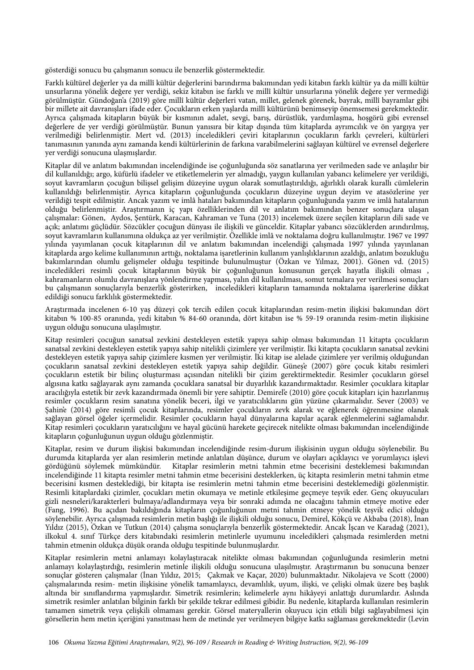gösterdiği sonucu bu çalışmanın sonucu ile benzerlik göstermektedir.

Farklı kültürel değerler ya da millî kültür değerlerini barındırma bakımından yedi kitabın farklı kültür ya da millî kültür unsurlarına yönelik değere yer verdiği, sekiz kitabın ise farklı ve millî kültür unsurlarına yönelik değere yer vermediği görülmüştür. Gündoğan'a (2019) göre millî kültür değerleri vatan, millet, gelenek görenek, bayrak, millî bayramlar gibi bir millete ait davranışları ifade eder. Çocukların erken yaşlarda millî kültürünü benimseyip önemsemesi gerekmektedir. Ayrıca çalışmada kitapların büyük bir kısmının adalet, sevgi, barış, dürüstlük, yardımlaşma, hoşgörü gibi evrensel değerlere de yer verdiği görülmüştür. Bunun yanısıra bir kitap dışında tüm kitaplarda ayrımcılık ve ön yargıya yer verilmediği belirlenmiştir. Mert vd. (2013) inceledikleri çeviri kitaplarının çocukların farklı çevreleri, kültürleri tanımasının yanında aynı zamanda kendi kültürlerinin de farkına varabilmelerini sağlayan kültürel ve evrensel değerlere yer verdiği sonucuna ulaşmışlardır.

Kitaplar dil ve anlatım bakımından incelendiğinde ise çoğunluğunda söz sanatlarına yer verilmeden sade ve anlaşılır bir dil kullanıldığı; argo, küfürlü ifadeler ve etiketlemelerin yer almadığı, yaygın kullanılan yabancı kelimelere yer verildiği, soyut kavramların çocuğun bilişsel gelişim düzeyine uygun olarak somutlaştırıldığı, ağırlıklı olarak kurallı cümlelerin kullanıldığı belirlenmiştir. Ayrıca kitapların çoğunluğunda çocukların düzeyine uygun deyim ve atasözlerine yer verildiği tespit edilmiştir. Ancak yazım ve imlâ hataları bakımından kitapların çoğunluğunda yazım ve imlâ hatalarının olduğu belirlenmiştir. Araştırmanın iç yapı özelliklerinden dil ve anlatım bakımından benzer sonuçlara ulaşan çalışmalar: Gönen, Aydos, Şentürk, Karacan, Kahraman ve Tuna (2013) incelemek üzere seçilen kitapların dili sade ve açık; anlatımı güçlüdür. Sözcükler çocuğun dünyası ile ilişkili ve günceldir. Kitaplar yabancı sözcüklerden arındırılmış, soyut kavramların kullanımına oldukça az yer verilmiştir. Özellikle imlâ ve noktalama doğru kullanılmıştır. 1967 ve 1997 yılında yayımlanan çocuk kitaplarının dil ve anlatım bakımından incelendiği çalışmada 1997 yılında yayınlanan kitaplarda argo kelime kullanımının arttığı, noktalama işaretlerinin kullanım yanlışlıklarının azaldığı, anlatım bozukluğu bakımlarından olumlu gelişmeler olduğu tespitinde bulunulmuştur (Özkan ve Yılmaz, 2001). Gönen vd. (2015) inceledikleri resimli çocuk kitaplarının büyük bir çoğunluğunun konusunun gerçek hayatla ilişkili olması , kahramanların olumlu davranışlara yönlendirme yapması, yalın dil kullanılması, somut temalara yer verilmesi sonuçları bu çalışmanın sonuçlarıyla benzerlik gösterirken, inceledikleri kitapların tamamında noktalama işarerlerine dikkat edildiği sonucu farklılık göstermektedir.

Araştırmada incelenen 6-10 yaş düzeyi çok tercih edilen çocuk kitaplarından resim-metin ilişkisi bakımından dört kitabın % 100-85 oranında, yedi kitabın % 84-60 oranında, dört kitabın ise % 59-19 oranında resim-metin ilişkisine uygun olduğu sonucuna ulaşılmıştır.

Kitap resimleri çocuğun sanatsal zevkini destekleyen estetik yapıya sahip olması bakımından 11 kitapta çocukların sanatsal zevkini destekleyen estetik yapıya sahip nitelikli çizimlere yer verilmiştir. İki kitapta çocukların sanatsal zevkini destekleyen estetik yapıya sahip çizimlere kısmen yer verilmiştir. İki kitap ise alelade çizimlere yer verilmiş olduğundan çocukların sanatsal zevkini destekleyen estetik yapıya sahip değildir. Güneş'e (2007) göre çocuk kitabı resimleri çocukların estetik bir bilinç oluşturması açısından nitelikli bir çizim gerektirmektedir. Resimler çocukların görsel algısına katkı sağlayarak aynı zamanda çocuklara sanatsal bir duyarlılık kazandırmaktadır. Resimler çocuklara kitaplar aracılığıyla estetik bir zevk kazandırmada önemli bir yere sahiptir. Demirel'e (2010) göre çocuk kitapları için hazırlanmış resimler çocukların resim sanatına yönelik beceri, ilgi ve yaratıcılıklarını gün yüzüne çıkarmalıdır. Sever (2003) ve Şahin'e (2014) göre resimli çocuk kitaplarında, resimler çocukların zevk alarak ve eğlenerek öğrenmesine olanak sağlayan görsel öğeler içermelidir. Resimler çocukların hayal dünyalarına kapılar açarak eğlenmelerini sağlamalıdır. Kitap resimleri çocukların yaratıcılığını ve hayal gücünü harekete geçirecek nitelikte olması bakımından incelendiğinde kitapların çoğunluğunun uygun olduğu gözlenmiştir.

Kitaplar, resim ve durum ilişkisi bakımından incelendiğinde resim-durum ilişkisinin uygun olduğu söylenebilir. Bu durumda kitaplarda yer alan resimlerin metinde anlatılan düşünce, durum ve olayları açıklayıcı ve yorumlayıcı işlevi gördüğünü söylemek mümkündür. Kitaplar resimlerin metni tahmin etme becerisini desteklemesi bakımından incelendiğinde 11 kitapta resimler metni tahmin etme becerisini desteklerken, üç kitapta resimlerin metni tahmin etme becerisini kısmen desteklediği, bir kitapta ise resimlerin metni tahmin etme becerisini desteklemediği gözlenmiştir. Resimli kitaplardaki çizimler, çocukları metin okumaya ve metinle etkileşime geçmeye teşvik eder. Genç okuyucuları gizli nesneleri/karakterleri bulmaya/adlandırmaya veya bir sonraki adımda ne olacağını tahmin etmeye motive eder (Fang, 1996). Bu açıdan bakıldığında kitapların çoğunluğunun metni tahmin etmeye yönelik teşvik edici olduğu söylenebilir. Ayrıca çalışmada resimlerin metin başlığı ile ilişkili olduğu sonucu, Demirel, Kökçü ve Akbaba (2018), İnan Yıldız (2015), Özkan ve Tutkun (2014) çalışma sonuçlarıyla benzerlik göstermektedir. Ancak İşcan ve Karadağ (2021), ilkokul 4. sınıf Türkçe ders kitabındaki resimlerin metinlerle uyumunu inceledikleri çalışmada resimlerden metni tahmin etmenin oldukça düşük oranda olduğu tespitinde bulunmuşlardır.

Kitaplar resimlerin metni anlamayı kolaylaştıracak nitelikte olması bakımından çoğunluğunda resimlerin metni anlamayı kolaylaştırdığı, resimlerin metinle ilişkili olduğu sonucuna ulaşılmıştır. Araştırmanın bu sonucuna benzer sonuçlar gösteren çalışmalar (İnan Yıldız, 2015; Çakmak ve Kaçar, 2020) bulunmaktadır. Nikolajeva ve Scott (2000) çalışmalarında resim- metin ilişkisine yönelik tamamlayıcı, devamlılık, uyum, ilişki, ve çelişki olmak üzere beş başlık altında bir sınıflandırma yapmışlardır. Simetrik resimlerin; kelimelerle aynı hikâyeyi anlattığı durumlardır. Aslında simetrik resimler anlatılan bilginin farklı bir şekilde tekrar edilmesi gibidir. Bu nedenle, kitaplarda kullanılan resimlerin tamamen simetrik veya çelişkili olmaması gerekir. Görsel materyallerin okuyucu için etkili bilgi sağlayabilmesi için görsellerin hem metin içeriğini yansıtması hem de metinde yer verilmeyen bilgiye katkı sağlaması gerekmektedir (Levin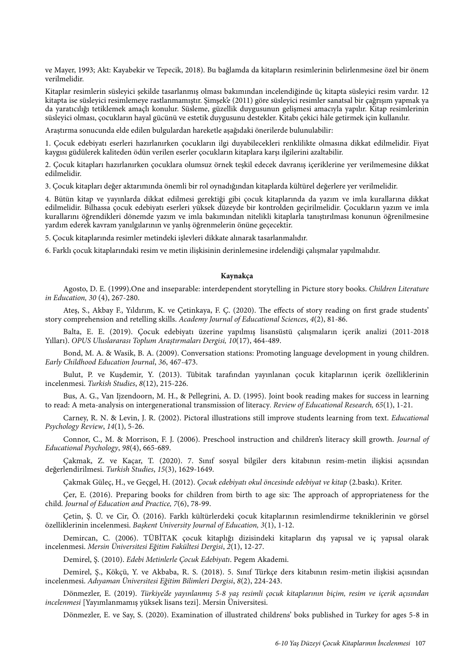ve Mayer, 1993; Akt: Kayabekir ve Tepecik, 2018). Bu bağlamda da kitapların resimlerinin belirlenmesine özel bir önem verilmelidir.

Kitaplar resimlerin süsleyici şekilde tasarlanmış olması bakımından incelendiğinde üç kitapta süsleyici resim vardır. 12 kitapta ise süsleyici resimlemeye rastlanmamıştır. Şimşek'e (2011) göre süsleyici resimler sanatsal bir çağrışım yapmak ya da yaratıcılığı tetiklemek amaçlı konulur. Süsleme, güzellik duygusunun gelişmesi amacıyla yapılır. Kitap resimlerinin süsleyici olması, çocukların hayal gücünü ve estetik duygusunu destekler. Kitabı çekici hâle getirmek için kullanılır.

Araştırma sonucunda elde edilen bulgulardan hareketle aşağıdaki önerilerde bulunulabilir:

1. Çocuk edebiyatı eserleri hazırlanırken çocukların ilgi duyabilecekleri renklilikte olmasına dikkat edilmelidir. Fiyat kaygısı güdülerek kaliteden ödün verilen eserler çocukların kitaplara karşı ilgilerini azaltabilir.

2. Çocuk kitapları hazırlanırken çocuklara olumsuz örnek teşkil edecek davranış içeriklerine yer verilmemesine dikkat edilmelidir.

3. Çocuk kitapları değer aktarımında önemli bir rol oynadığından kitaplarda kültürel değerlere yer verilmelidir.

4. Bütün kitap ve yayınlarda dikkat edilmesi gerektiği gibi çocuk kitaplarında da yazım ve imla kurallarına dikkat edilmelidir. Bilhassa çocuk edebiyatı eserleri yüksek düzeyde bir kontrolden geçirilmelidir. Çocukların yazım ve imla kurallarını öğrendikleri dönemde yazım ve imla bakımından nitelikli kitaplarla tanıştırılması konunun öğrenilmesine yardım ederek kavram yanılgılarının ve yanlış öğrenmelerin önüne geçecektir.

5. Çocuk kitaplarında resimler metindeki işlevleri dikkate alınarak tasarlanmalıdır.

6. Farklı çocuk kitaplarındaki resim ve metin ilişkisinin derinlemesine irdelendiği çalışmalar yapılmalıdır.

# **Kaynakça**

Agosto, D. E. (1999).One and inseparable: interdependent storytelling in Picture story books. *Children Literature in Education, 30* (4), 267-280.

Ateş, S., Akbay F., Yıldırım, K. ve Çetinkaya, F. Ç. (2020). The effects of story reading on first grade students' story comprehension and retelling skills. *Academy Journal of Educational Sciences*, *4*(2), 81-86.

Balta, E. E. (2019). Çocuk edebiyatı üzerine yapılmış lisansüstü çalışmaların içerik analizi (2011-2018 Yılları). *OPUS Uluslararası Toplum Ara*ş*tırmaları Dergisi, 10*(17), 464-489.

Bond, M. A. & Wasik, B. A. (2009). Conversation stations: Promoting language development in young children. *Early Childhood Education Journal*, *36*, 467-473.

Bulut, P. ve Kuşdemir, Y. (2013). Tübitak tarafından yayınlanan çocuk kitaplarının içerik özelliklerinin incelenmesi. *Turkish Studies*, *8*(12), 215-226.

Bus, A. G., Van Ijzendoorn, M. H., & Pellegrini, A. D. (1995). Joint book reading makes for success in learning to read: A meta-analysis on intergenerational transmission of literacy*. Review of Educational Research, 65*(1), 1-21.

Carney, R. N. & Levin, J. R. (2002). Pictoral illustrations still improve students learning from text. *Educational Psychology Review*, *14*(1), 5-26.

Connor, C., M. & Morrison, F. J. (2006). Preschool instruction and children's literacy skill growth. *Journal of Educational Psychology*, *98*(4), 665-689.

Çakmak, Z. ve Kaçar, T. (2020). 7. Sınıf sosyal bilgiler ders kitabının resim-metin ilişkisi açısından değerlendirilmesi. *Turkish Studies*, *15*(3), 1629-1649.

Çakmak Güleç, H., ve Geçgel, H. (2012). *Çocuk edebiyatı okul öncesinde edebiyat ve kitap* (2.baskı). Kriter.

Çer, E. (2016). Preparing books for children from birth to age six: The approach of appropriateness for the child*. Journal of Education and Practice, 7*(6), 78-99.

Çetin, Ş. Ü. ve Cir, Ö. (2016). Farklı kültürlerdeki çocuk kitaplarının resimlendirme tekniklerinin ve görsel özelliklerinin incelenmesi. *Ba*ş*kent University Journal of Education, 3*(1), 1-12.

Demircan, C. (2006). TÜBİTAK çocuk kitaplığı dizisindeki kitapların dış yapısal ve iç yapısal olarak incelenmesi. *Mersin Üniversitesi E*ğ*itim Fakültesi Dergisi*, *2*(1), 12-27.

Demirel, Ş. (2010). *Edebi Metinlerle Çocuk Edebiyatı*. Pegem Akademi.

Demirel, Ş., Kökçü, Y. ve Akbaba, R. S. (2018). 5. Sınıf Türkçe ders kitabının resim-metin ilişkisi açısından incelenmesi. *Adıyaman Üniversitesi E*ğ*itim Bilimleri Dergisi*, *8*(2), 224-243.

Dönmezler, E. (2019). *Türkiye'de yayınlanmı*ş *5-8 ya*ş *resimli çocuk kitaplarının biçim, resim ve içerik açısından incelenmesi* [Yayımlanmamış yüksek lisans tezi]. Mersin Üniversitesi.

Dönmezler, E. ve Say, S. (2020). Examination of illustrated childrens' boks published in Turkey for ages 5-8 in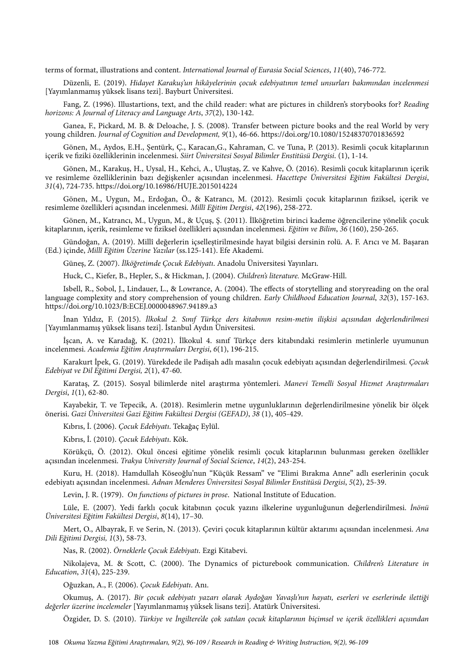terms of format, illustrations and content. *International Journal of Eurasia Social Sciences*, *11*(40), 746-772.

Düzenli, E. (2019). *Hidayet Karaku*ş*'un hikâyelerinin çocuk edebiyatının temel unsurları bakımından incelenmesi* [Yayımlanmamış yüksek lisans tezi]. Bayburt Üniversitesi.

Fang, Z. (1996). Illustartions, text, and the child reader: what are pictures in children's storybooks for? *Reading horizons: A Journal of Literacy and Language Arts*, *37*(2), 130-142.

Ganea, F., Pickard, M. B. & Deloache, J. S. (2008). Transfer between picture books and the real World by very young children. *Journal of Cognition and Development, 9*(1), 46-66. https://doi.org/10.1080/15248370701836592

Gönen, M., Aydos, E.H., Şentürk, Ç., Karacan,G., Kahraman, C. ve Tuna, P. (2013). Resimli çocuk kitaplarının içerik ve fiziki özelliklerinin incelenmesi. *Siirt Üniversitesi Sosyal Bilimler Enstitüsü Dergisi*. (1), 1-14.

Gönen, M., Karakuş, H., Uysal, H., Kehci, A., Uluştaş, Z. ve Kahve, Ö. (2016). Resimli çocuk kitaplarının içerik ve resimleme özelliklerinin bazı değişkenler açısından incelenmesi. *Hacettepe Üniversitesi E*ğ*itim Fakültesi Dergisi*, *31*(4), 724-735. https://doi.org/10.16986/HUJE.2015014224

Gönen, M., Uygun, M., Erdoğan, Ö., & Katrancı, M. (2012). Resimli çocuk kitaplarının fiziksel, içerik ve resimleme özellikleri açısından incelenmesi. *Millî E*ğ*itim Dergisi*, *42*(196), 258-272.

Gönen, M., Katrancı, M., Uygun, M., & Uçuş, Ş. (2011). İlköğretim birinci kademe öğrencilerine yönelik çocuk kitaplarının, içerik, resimleme ve fiziksel özellikleri açısından incelenmesi. *E*ğ*itim ve Bilim*, *36* (160), 250-265.

Gündoğan, A. (2019). Millî değerlerin içselleştirilmesinde hayat bilgisi dersinin rolü. A. F. Arıcı ve M. Başaran (Ed.) içinde, *Millî E*ğ*itim Üzerine Yazılar* (ss.125-141). Efe Akademi.

Güneş, Z. (2007). İ*lkö*ğ*retimde Çocuk Edebiyatı*. Anadolu Üniversitesi Yayınları.

Huck, C., Kiefer, B., Hepler, S., & Hickman, J. (2004). *Children's literature.* McGraw-Hill.

Isbell, R., Sobol, J., Lindauer, L., & Lowrance, A. (2004). The effects of storytelling and storyreading on the oral language complexity and story comprehension of young children. *Early Childhood Education Journal*, *32*(3), 157-163. https://doi.org/10.1023/B:ECEJ.0000048967.94189.a3

İnan Yıldız, F. (2015). İ*lkokul 2. Sınıf Türkçe ders kitabının resim-metin ili*ş*kisi açısından de*ğ*erlendirilmesi* [Yayımlanmamış yüksek lisans tezi]. İstanbul Aydın Üniversitesi.

İşcan, A. ve Karadağ, K. (2021). İlkokul 4. sınıf Türkçe ders kitabındaki resimlerin metinlerle uyumunun incelenmesi. *Academia E*ğ*itim Ara*ş*tırmaları Dergisi*, *6*(1), 196-215.

Karakurt İpek, G. (2019). Yürekdede ile Padişah adlı masalın çocuk edebiyatı açısından değerlendirilmesi*. Çocuk Edebiyat ve Dil E*ğ*itimi Dergisi, 2*(1), 47-60.

Karataş, Z. (2015). Sosyal bilimlerde nitel araştırma yöntemleri. *Manevi Temelli Sosyal Hizmet Ara*ş*tırmaları Dergisi*, *1*(1), 62-80.

Kayabekir, T. ve Tepecik, A. (2018). Resimlerin metne uygunluklarının değerlendirilmesine yönelik bir ölçek önerisi. *Gazi Üniversitesi Gazi E*ğ*itim Fakültesi Dergisi (GEFAD)*, *38* (1), 405-429.

Kıbrıs, İ. (2006). *Çocuk Edebiyatı*. Tekağaç Eylül.

Kıbrıs, İ. (2010). *Çocuk Edebiyatı*. Kök.

Körükçü, Ö. (2012). Okul öncesi eğitime yönelik resimli çocuk kitaplarının bulunması gereken özellikler açısından incelenmesi. *Trakya University Journal of Social Science*, *14*(2), 243-254.

Kuru, H. (2018). Hamdullah Köseoğlu'nun "Küçük Ressam" ve "Elimi Bırakma Anne" adlı eserlerinin çocuk edebiyatı açısından incelenmesi. *Adnan Menderes Üniversitesi Sosyal Bilimler Enstitüsü Dergisi*, *5*(2), 25-39.

Levin, J. R. (1979). *On functions of pictures in prose*. National Institute of Education.

Lüle, E. (2007). Yedi farklı çocuk kitabının çocuk yazını ilkelerine uygunluğunun değerlendirilmesi. İ*nönü Üniversitesi E*ğ*itim Fakültesi Dergisi*, *8*(14), 17–30.

Mert, O., Albayrak, F. ve Serin, N. (2013). Çeviri çocuk kitaplarının kültür aktarımı açısından incelenmesi. *Ana Dili E*ğ*itimi Dergisi, 1*(3), 58-73.

Nas, R. (2002). *Örneklerle Çocuk Edebiyatı*. Ezgi Kitabevi.

Nikolajeva, M. & Scott, C. (2000). The Dynamics of picturebook communication. *Children's Literature in Education*, *31*(4), 225-239.

Oğuzkan, A., F. (2006). *Çocuk Edebiyatı*. Anı.

Okumuş, A. (2017). *Bir çocuk edebiyatı yazarı olarak Aydo*ğ*an Yava*ş*lı'nın hayatı, eserleri ve eserlerinde iletti*ğ*i de*ğ*erler üzerine incelemeler* [Yayımlanmamış yüksek lisans tezi]. Atatürk Üniversitesi.

Özgider, D. S. (2010). *Türkiye ve* İ*ngiltere'de çok satılan çocuk kitaplarının biçimsel ve içerik özellikleri açısından*